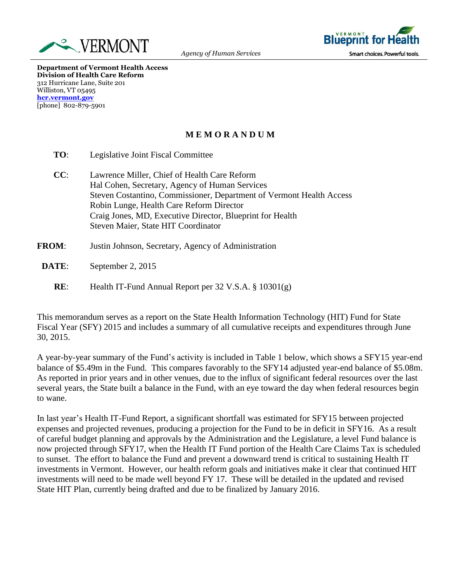



**Department of Vermont Health Access Division of Health Care Reform** 312 Hurricane Lane, Suite 201 Williston, VT 05495 **[hcr.vermont.gov](http://www.ovha.vermont.gov/)** [phone] 802-879-5901

## **M E M O R A N D U M**

- **TO**: Legislative Joint Fiscal Committee
- **CC**: Lawrence Miller, Chief of Health Care Reform Hal Cohen, Secretary, Agency of Human Services Steven Costantino, Commissioner, Department of Vermont Health Access Robin Lunge, Health Care Reform Director Craig Jones, MD, Executive Director, Blueprint for Health Steven Maier, State HIT Coordinator
- **FROM**: Justin Johnson, Secretary, Agency of Administration
	- **DATE**: September 2, 2015
		- **RE**: Health IT-Fund Annual Report per 32 V.S.A. § 10301(g)

This memorandum serves as a report on the State Health Information Technology (HIT) Fund for State Fiscal Year (SFY) 2015 and includes a summary of all cumulative receipts and expenditures through June 30, 2015.

A year-by-year summary of the Fund's activity is included in Table 1 below, which shows a SFY15 year-end balance of \$5.49m in the Fund. This compares favorably to the SFY14 adjusted year-end balance of \$5.08m. As reported in prior years and in other venues, due to the influx of significant federal resources over the last several years, the State built a balance in the Fund, with an eye toward the day when federal resources begin to wane.

In last year's Health IT-Fund Report, a significant shortfall was estimated for SFY15 between projected expenses and projected revenues, producing a projection for the Fund to be in deficit in SFY16. As a result of careful budget planning and approvals by the Administration and the Legislature, a level Fund balance is now projected through SFY17, when the Health IT Fund portion of the Health Care Claims Tax is scheduled to sunset. The effort to balance the Fund and prevent a downward trend is critical to sustaining Health IT investments in Vermont. However, our health reform goals and initiatives make it clear that continued HIT investments will need to be made well beyond FY 17. These will be detailed in the updated and revised State HIT Plan, currently being drafted and due to be finalized by January 2016.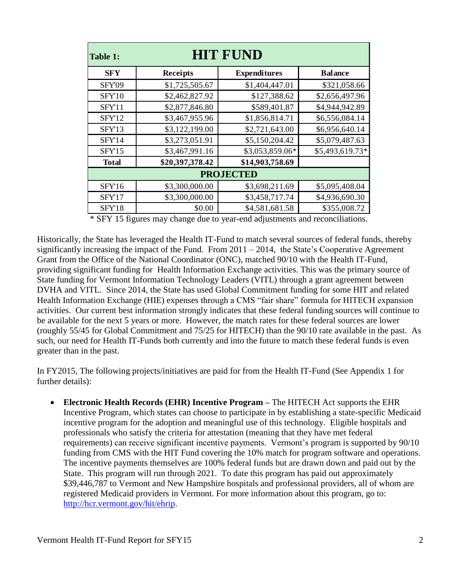| Table 1:         | HIT FUND        |                     |                 |  |  |  |
|------------------|-----------------|---------------------|-----------------|--|--|--|
| <b>SFY</b>       | Receipts        | <b>Expenditures</b> | <b>Balance</b>  |  |  |  |
| SFY09            | \$1,725,505.67  | \$1,404,447.01      | \$321,058.66    |  |  |  |
| SFY10            | \$2,462,827.92  | \$127,388.62        | \$2,656,497.96  |  |  |  |
| SFY11            | \$2,877,846.80  | \$589,401.87        | \$4,944,942.89  |  |  |  |
| SFY12            | \$3,467,955.96  | \$1,856,814.71      | \$6,556,084.14  |  |  |  |
| SFY13            | \$3,122,199.00  | \$2,721,643.00      | \$6,956,640.14  |  |  |  |
| SFY14            | \$3,273,051.91  | \$5,150,204.42      | \$5,079,487.63  |  |  |  |
| SFY15            | \$3,467,991.16  | \$3,053,859.06*     | \$5,493,619.73* |  |  |  |
| <b>Total</b>     | \$20,397,378.42 | \$14,903,758.69     |                 |  |  |  |
| <b>PROJECTED</b> |                 |                     |                 |  |  |  |
| SFY16            | \$3,300,000.00  | \$3,698,211.69      | \$5,095,408.04  |  |  |  |
| SFY17            | \$3,300,000.00  | \$3,458,717.74      | \$4,936,690.30  |  |  |  |
| SFY18            | \$0.00          | \$4,581,681.58      | \$355,008.72    |  |  |  |

\* SFY 15 figures may change due to year-end adjustments and reconciliations.

Historically, the State has leveraged the Health IT-Fund to match several sources of federal funds, thereby significantly increasing the impact of the Fund. From  $2011 - 2014$ , the State's Cooperative Agreement Grant from the Office of the National Coordinator (ONC), matched 90/10 with the Health IT-Fund, providing significant funding for Health Information Exchange activities. This was the primary source of State funding for Vermont Information Technology Leaders (VITL) through a grant agreement between DVHA and VITL. Since 2014, the State has used Global Commitment funding for some HIT and related Health Information Exchange (HIE) expenses through a CMS "fair share" formula for HITECH expansion activities. Our current best information strongly indicates that these federal funding sources will continue to be available for the next 5 years or more. However, the match rates for these federal sources are lower (roughly 55/45 for Global Commitment and 75/25 for HITECH) than the 90/10 rate available in the past. As such, our need for Health IT-Funds both currently and into the future to match these federal funds is even greater than in the past.

In FY2015, The following projects/initiatives are paid for from the Health IT-Fund (See Appendix 1 for further details):

 **Electronic Health Records (EHR) Incentive Program –** The HITECH Act supports the EHR Incentive Program, which states can choose to participate in by establishing a state-specific Medicaid incentive program for the adoption and meaningful use of this technology. Eligible hospitals and professionals who satisfy the criteria for attestation (meaning that they have met federal requirements) can receive significant incentive payments. Vermont's program is supported by 90/10 funding from CMS with the HIT Fund covering the 10% match for program software and operations. The incentive payments themselves are 100% federal funds but are drawn down and paid out by the State. This program will run through 2021. To date this program has paid out approximately \$39,446,787 to Vermont and New Hampshire hospitals and professional providers, all of whom are registered Medicaid providers in Vermont. For more information about this program, go to: [http://hcr.vermont.gov/hit/ehrip.](http://hcr.vermont.gov/hit/ehrip)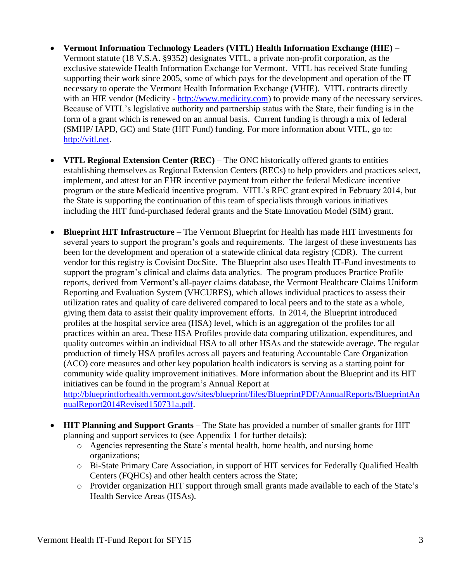- **Vermont Information Technology Leaders (VITL) Health Information Exchange (HIE) –** Vermont statute (18 V.S.A. §9352) designates VITL, a private non-profit corporation, as the exclusive statewide Health Information Exchange for Vermont. VITL has received State funding supporting their work since 2005, some of which pays for the development and operation of the IT necessary to operate the Vermont Health Information Exchange (VHIE). VITL contracts directly with an HIE vendor (Medicity - [http://www.medicity.com\)](http://www.medicity.com/) to provide many of the necessary services. Because of VITL's legislative authority and partnership status with the State, their funding is in the form of a grant which is renewed on an annual basis. Current funding is through a mix of federal (SMHP/ IAPD, GC) and State (HIT Fund) funding. For more information about VITL, go to: [http://vitl.net.](http://vitl.net/)
- **VITL Regional Extension Center (REC)** The ONC historically offered grants to entities establishing themselves as Regional Extension Centers (RECs) to help providers and practices select, implement, and attest for an EHR incentive payment from either the federal Medicare incentive program or the state Medicaid incentive program. VITL's REC grant expired in February 2014, but the State is supporting the continuation of this team of specialists through various initiatives including the HIT fund-purchased federal grants and the State Innovation Model (SIM) grant.
- **Blueprint HIT Infrastructure** The Vermont Blueprint for Health has made HIT investments for several years to support the program's goals and requirements. The largest of these investments has been for the development and operation of a statewide clinical data registry (CDR). The current vendor for this registry is Covisint DocSite. The Blueprint also uses Health IT-Fund investments to support the program's clinical and claims data analytics. The program produces Practice Profile reports, derived from Vermont's all-payer claims database, the Vermont Healthcare Claims Uniform Reporting and Evaluation System (VHCURES), which allows individual practices to assess their utilization rates and quality of care delivered compared to local peers and to the state as a whole, giving them data to assist their quality improvement efforts. In 2014, the Blueprint introduced profiles at the hospital service area (HSA) level, which is an aggregation of the profiles for all practices within an area. These HSA Profiles provide data comparing utilization, expenditures, and quality outcomes within an individual HSA to all other HSAs and the statewide average. The regular production of timely HSA profiles across all payers and featuring Accountable Care Organization (ACO) core measures and other key population health indicators is serving as a starting point for community wide quality improvement initiatives. More information about the Blueprint and its HIT initiatives can be found in the program's Annual Report at

[http://blueprintforhealth.vermont.gov/sites/blueprint/files/BlueprintPDF/AnnualReports/BlueprintAn](http://blueprintforhealth.vermont.gov/sites/blueprint/files/BlueprintPDF/AnnualReports/BlueprintAnnualReport2014Revised150731a.pdf) [nualReport2014Revised150731a.pdf.](http://blueprintforhealth.vermont.gov/sites/blueprint/files/BlueprintPDF/AnnualReports/BlueprintAnnualReport2014Revised150731a.pdf)

- **HIT Planning and Support Grants** The State has provided a number of smaller grants for HIT planning and support services to (see Appendix 1 for further details):
	- o Agencies representing the State's mental health, home health, and nursing home organizations;
	- o Bi-State Primary Care Association, in support of HIT services for Federally Qualified Health Centers (FQHCs) and other health centers across the State;
	- o Provider organization HIT support through small grants made available to each of the State's Health Service Areas (HSAs).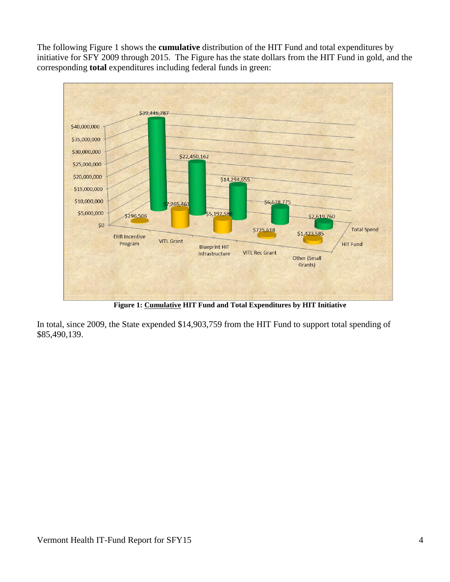The following Figure 1 shows the **cumulative** distribution of the HIT Fund and total expenditures by initiative for SFY 2009 through 2015. The Figure has the state dollars from the HIT Fund in gold, and the corresponding **total** expenditures including federal funds in green:



**Figure 1: Cumulative HIT Fund and Total Expenditures by HIT Initiative**

In total, since 2009, the State expended \$14,903,759 from the HIT Fund to support total spending of \$85,490,139.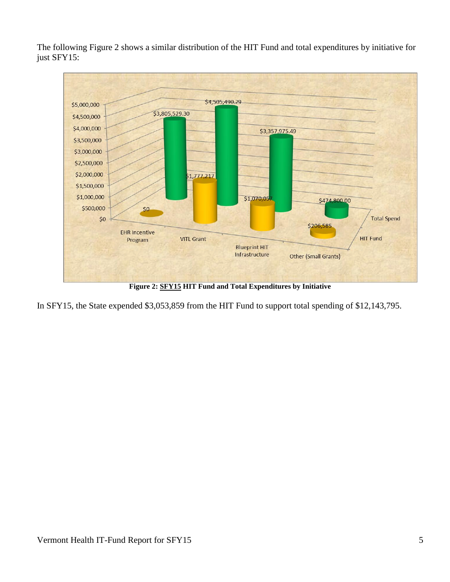The following Figure 2 shows a similar distribution of the HIT Fund and total expenditures by initiative for just SFY15:



**Figure 2: SFY15 HIT Fund and Total Expenditures by Initiative**

In SFY15, the State expended \$3,053,859 from the HIT Fund to support total spending of \$12,143,795.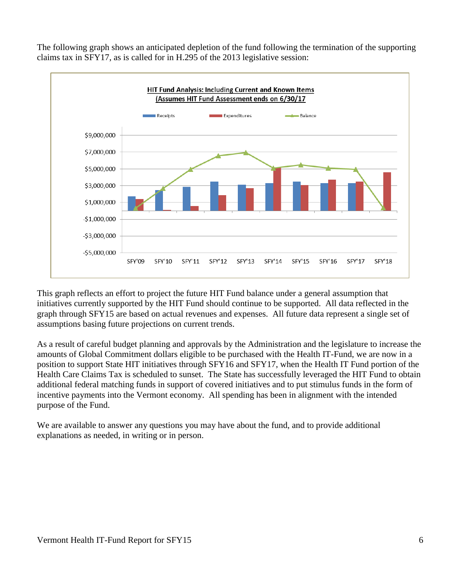The following graph shows an anticipated depletion of the fund following the termination of the supporting claims tax in SFY17, as is called for in H.295 of the 2013 legislative session:



This graph reflects an effort to project the future HIT Fund balance under a general assumption that initiatives currently supported by the HIT Fund should continue to be supported. All data reflected in the graph through SFY15 are based on actual revenues and expenses. All future data represent a single set of assumptions basing future projections on current trends.

As a result of careful budget planning and approvals by the Administration and the legislature to increase the amounts of Global Commitment dollars eligible to be purchased with the Health IT-Fund, we are now in a position to support State HIT initiatives through SFY16 and SFY17, when the Health IT Fund portion of the Health Care Claims Tax is scheduled to sunset. The State has successfully leveraged the HIT Fund to obtain additional federal matching funds in support of covered initiatives and to put stimulus funds in the form of incentive payments into the Vermont economy. All spending has been in alignment with the intended purpose of the Fund.

We are available to answer any questions you may have about the fund, and to provide additional explanations as needed, in writing or in person.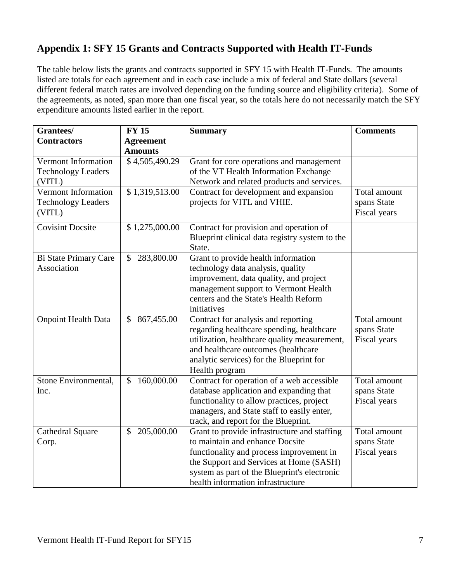## **Appendix 1: SFY 15 Grants and Contracts Supported with Health IT-Funds**

The table below lists the grants and contracts supported in SFY 15 with Health IT-Funds. The amounts listed are totals for each agreement and in each case include a mix of federal and State dollars (several different federal match rates are involved depending on the funding source and eligibility criteria). Some of the agreements, as noted, span more than one fiscal year, so the totals here do not necessarily match the SFY expenditure amounts listed earlier in the report.

| Grantees/                  | <b>FY 15</b>                | <b>Summary</b>                                 | <b>Comments</b> |
|----------------------------|-----------------------------|------------------------------------------------|-----------------|
| <b>Contractors</b>         | <b>Agreement</b>            |                                                |                 |
|                            | <b>Amounts</b>              |                                                |                 |
| Vermont Information        | \$4,505,490.29              | Grant for core operations and management       |                 |
| <b>Technology Leaders</b>  |                             | of the VT Health Information Exchange          |                 |
| (VITL)                     |                             | Network and related products and services.     |                 |
| <b>Vermont Information</b> | \$1,319,513.00              | Contract for development and expansion         | Total amount    |
| <b>Technology Leaders</b>  |                             | projects for VITL and VHIE.                    | spans State     |
| (VITL)                     |                             |                                                | Fiscal years    |
| <b>Covisint Docsite</b>    | \$1,275,000.00              | Contract for provision and operation of        |                 |
|                            |                             | Blueprint clinical data registry system to the |                 |
|                            |                             | State.                                         |                 |
| Bi State Primary Care      | 283,800.00<br>$\mathcal{S}$ | Grant to provide health information            |                 |
| Association                |                             | technology data analysis, quality              |                 |
|                            |                             | improvement, data quality, and project         |                 |
|                            |                             | management support to Vermont Health           |                 |
|                            |                             | centers and the State's Health Reform          |                 |
|                            |                             | initiatives                                    |                 |
| <b>Onpoint Health Data</b> | 867,455.00<br>\$            | Contract for analysis and reporting            | Total amount    |
|                            |                             | regarding healthcare spending, healthcare      | spans State     |
|                            |                             | utilization, healthcare quality measurement,   | Fiscal years    |
|                            |                             | and healthcare outcomes (healthcare            |                 |
|                            |                             | analytic services) for the Blueprint for       |                 |
|                            |                             | Health program                                 |                 |
| Stone Environmental,       | 160,000.00<br>$\mathcal{S}$ | Contract for operation of a web accessible     | Total amount    |
| Inc.                       |                             | database application and expanding that        | spans State     |
|                            |                             | functionality to allow practices, project      | Fiscal years    |
|                            |                             | managers, and State staff to easily enter,     |                 |
|                            |                             | track, and report for the Blueprint.           |                 |
| Cathedral Square           | 205,000.00<br>\$            | Grant to provide infrastructure and staffing   | Total amount    |
| Corp.                      |                             | to maintain and enhance Docsite                | spans State     |
|                            |                             | functionality and process improvement in       | Fiscal years    |
|                            |                             | the Support and Services at Home (SASH)        |                 |
|                            |                             | system as part of the Blueprint's electronic   |                 |
|                            |                             | health information infrastructure              |                 |